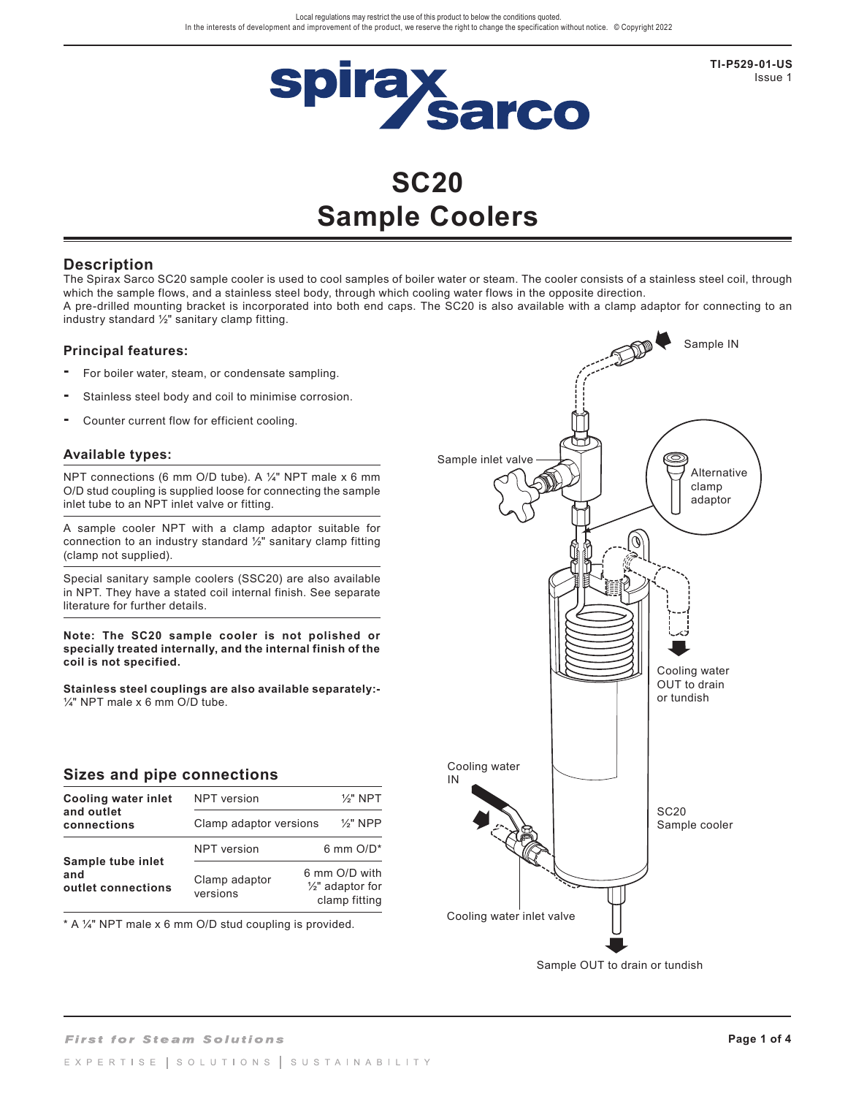

**TI-P529-01-US** Issue 1

# **SC20 Sample Coolers**

## **Description**

The Spirax Sarco SC20 sample cooler is used to cool samples of boiler water or steam. The cooler consists of a stainless steel coil, through which the sample flows, and a stainless steel body, through which cooling water flows in the opposite direction. A pre-drilled mounting bracket is incorporated into both end caps. The SC20 is also available with a clamp adaptor for connecting to an industry standard ½" sanitary clamp fitting.

## **Principal features:**

- **-** For boiler water, steam, or condensate sampling.
- **-** Stainless steel body and coil to minimise corrosion.
- **-** Counter current flow for efficient cooling.

#### **Available types:**

NPT connections (6 mm O/D tube). A ¼" NPT male x 6 mm O/D stud coupling is supplied loose for connecting the sample inlet tube to an NPT inlet valve or fitting.

A sample cooler NPT with a clamp adaptor suitable for connection to an industry standard  $\frac{1}{2}$ " sanitary clamp fitting (clamp not supplied).

Special sanitary sample coolers (SSC20) are also available in NPT. They have a stated coil internal finish. See separate literature for further details.

**Note: The SC20 sample cooler is not polished or specially treated internally, and the internal finish of the coil is not specified.**

**Stainless steel couplings are also available separately:-**  $\frac{1}{4}$ " NPT male x 6 mm O/D tube.

## **Sizes and pipe connections**

| Cooling water inlet                            | <b>NPT</b> version        | $\frac{1}{2}$ " NPT                                           |
|------------------------------------------------|---------------------------|---------------------------------------------------------------|
| and outlet<br>connections                      | Clamp adaptor versions    | $\frac{1}{2}$ " NPP                                           |
|                                                | <b>NPT</b> version        | 6 mm $O/D^*$                                                  |
| Sample tube inlet<br>and<br>outlet connections | Clamp adaptor<br>versions | 6 mm O/D with<br>$\frac{1}{2}$ " adaptor for<br>clamp fitting |

\* A ¼" NPT male x 6 mm O/D stud coupling is provided.



Sample OUT to drain or tundish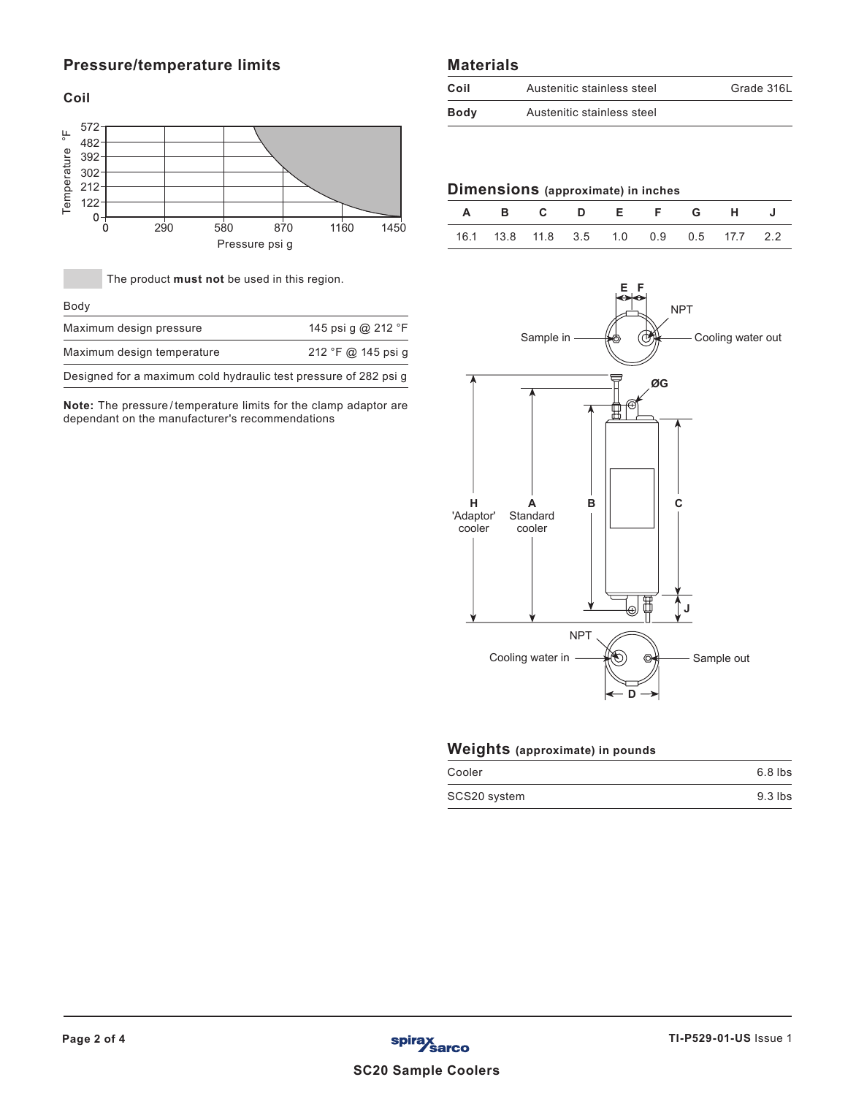# **Pressure/temperature limits**

**Coil**



The product **must not** be used in this region.

|  | I<br>۰, | × |  |
|--|---------|---|--|
|--|---------|---|--|

| Maximum design pressure                                          | 145 psi g @ 212 °F |
|------------------------------------------------------------------|--------------------|
| Maximum design temperature                                       | 212 °F @ 145 psi q |
| Designed for a maximum cold hydraulic test pressure of 282 psi g |                    |

**Note:** The pressure/temperature limits for the clamp adaptor are dependant on the manufacturer's recommendations

## **Materials**

| Coil | Austenitic stainless steel | Grade 316L |
|------|----------------------------|------------|
| Body | Austenitic stainless steel |            |

# **Dimensions (approximate) in inches**

|  |  |  | A B C D E F G H J                       |  |
|--|--|--|-----------------------------------------|--|
|  |  |  | 16.1 13.8 11.8 3.5 1.0 0.9 0.5 17.7 2.2 |  |



# **Weights (approximate) in pounds**

| Cooler       | $6.8$ lbs |
|--------------|-----------|
| SCS20 system | $9.3$ lbs |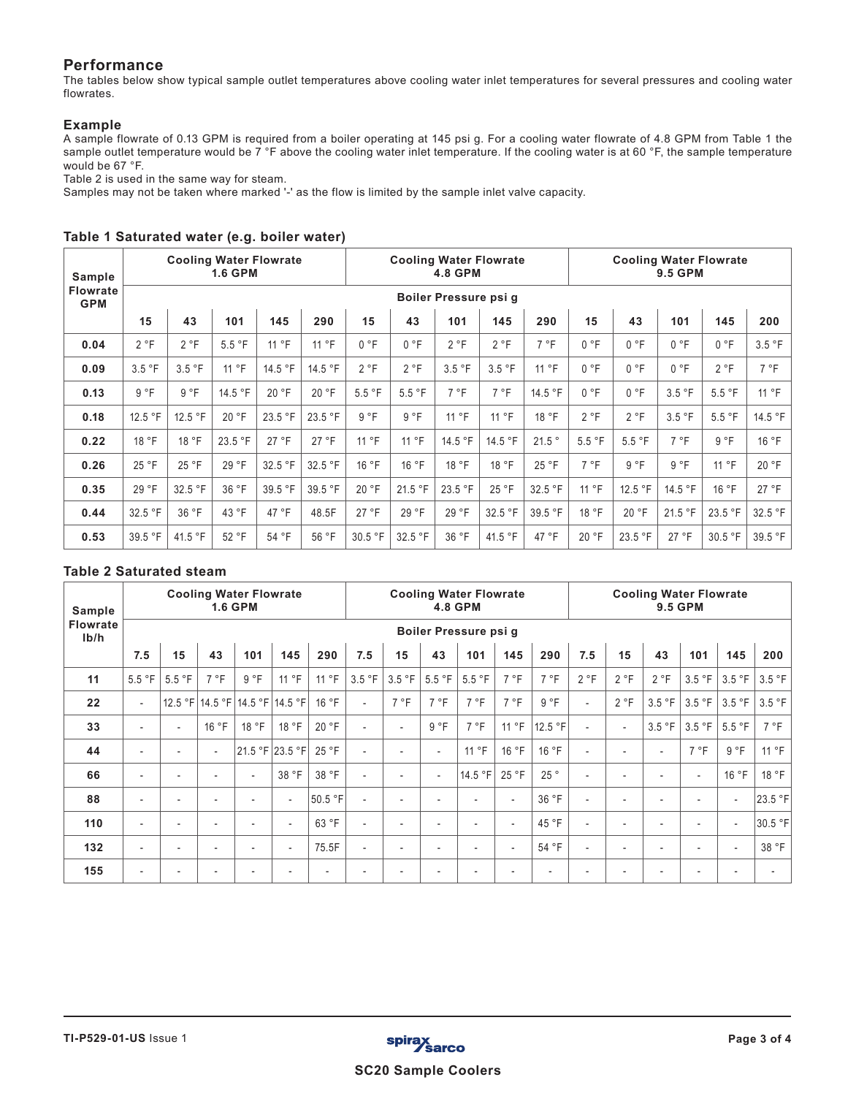# **Performance**

The tables below show typical sample outlet temperatures above cooling water inlet temperatures for several pressures and cooling water flowrates.

### **Example**

A sample flowrate of 0.13 GPM is required from a boiler operating at 145 psi g. For a cooling water flowrate of 4.8 GPM from Table 1 the sample outlet temperature would be 7 °F above the cooling water inlet temperature. If the cooling water is at 60 °F, the sample temperature would be 67 °F.

Table 2 is used in the same way for steam.

Samples may not be taken where marked '-' as the flow is limited by the sample inlet valve capacity.

| Sample                        |                                                                |         | <b>Cooling Water Flowrate</b><br><b>1.6 GPM</b> |         |         |         |         | <b>Cooling Water Flowrate</b><br><b>4.8 GPM</b> |         |         | <b>Cooling Water Flowrate</b><br><b>9.5 GPM</b> |         |         |         |         |
|-------------------------------|----------------------------------------------------------------|---------|-------------------------------------------------|---------|---------|---------|---------|-------------------------------------------------|---------|---------|-------------------------------------------------|---------|---------|---------|---------|
| <b>Flowrate</b><br><b>GPM</b> | Boiler Pressure psi q                                          |         |                                                 |         |         |         |         |                                                 |         |         |                                                 |         |         |         |         |
|                               | 15<br>43<br>15<br>101<br>145<br>290<br>101<br>145<br>290<br>43 |         |                                                 |         |         |         |         |                                                 |         |         | 15                                              | 43      | 101     | 145     | 200     |
| 0.04                          | 2 °F                                                           | 2 °F    | 5.5 °F                                          | 11 °F   | 11 °F   | 0 °F    | 0 °F    | 2 °F                                            | 2 °F    | 7 °F    | 0 °F                                            | 0 °F    | 0 °F    | 0 °F    | 3.5 °F  |
| 0.09                          | 3.5 °F                                                         | 3.5 °F  | 11 °F                                           | 14.5 °F | 14.5 °F | 2 °F    | 2 °F    | 3.5 °F                                          | 3.5 °F  | 11 °F   | 0 °F                                            | 0 °F    | 0 °F    | 2 °F    | 7 °F    |
| 0.13                          | 9 °F                                                           | 9 °F    | 14.5 °F                                         | 20 °F   | 20 °F   | 5.5 °F  | 5.5 °F  | 7 °F                                            | 7 °F    | 14.5 °F | 0 °F                                            | 0 °F    | 3.5 °F  | 5.5 °F  | 11 °F   |
| 0.18                          | 12.5 °F                                                        | 12.5 °F | 20 °F                                           | 23.5 °F | 23.5 °F | 9 °F    | 9 °F    | 11 °F                                           | 11 °F   | 18 °F   | 2 °F                                            | 2 °F    | 3.5 °F  | 5.5 °F  | 14.5 °F |
| 0.22                          | 18 °F                                                          | 18 °F   | 23.5 °F                                         | 27 °F   | 27 °F   | 11 °F   | 11 °F   | 14.5 °F                                         | 14.5 °F | 21.5°   | 5.5 °F                                          | 5.5 °F  | 7 °F    | 9 °F    | 16 °F   |
| 0.26                          | 25 °F                                                          | 25 °F   | 29 °F                                           | 32.5 °F | 32.5 °F | 16 °F   | 16 °F   | 18 °F                                           | 18 °F   | 25 °F   | 7 °F                                            | 9 °F    | 9 °F    | 11 °F   | 20 °F   |
| 0.35                          | 29 °F                                                          | 32.5 °F | 36 °F                                           | 39.5 °F | 39.5 °F | 20 °F   | 21.5 °F | 23.5 °F                                         | 25 °F   | 32.5 °F | 11 °F                                           | 12.5 °F | 14.5 °F | 16 °F   | 27 °F   |
| 0.44                          | 32.5 °F                                                        | 36 °F   | 43 °F                                           | 47 °F   | 48.5F   | 27 °F   | 29 °F   | 29 °F                                           | 32.5 °F | 39.5 °F | 18 °F                                           | 20 °F   | 21.5 °F | 23.5 °F | 32.5 °F |
| 0.53                          | 39.5 °F                                                        | 41.5 °F | 52 °F                                           | 54 °F   | 56 °F   | 30.5 °F | 32.5 °F | 36 °F                                           | 41.5 °F | 47 °F   | 20 °F                                           | 23.5 °F | 27 °F   | 30.5 °F | 39.5 °F |

## **Table 1 Saturated water (e.g. boiler water)**

## **Table 2 Saturated steam**

| Sample                  | <b>Cooling Water Flowrate</b><br><b>1.6 GPM</b> |                          |       |                          |                                 |         | <b>Cooling Water Flowrate</b><br><b>4.8 GPM</b> |        |                          |                          |                          |                | <b>Cooling Water Flowrate</b><br><b>9.5 GPM</b> |                          |                          |                          |                          |         |
|-------------------------|-------------------------------------------------|--------------------------|-------|--------------------------|---------------------------------|---------|-------------------------------------------------|--------|--------------------------|--------------------------|--------------------------|----------------|-------------------------------------------------|--------------------------|--------------------------|--------------------------|--------------------------|---------|
| <b>Flowrate</b><br>Ib/h | Boiler Pressure psi g                           |                          |       |                          |                                 |         |                                                 |        |                          |                          |                          |                |                                                 |                          |                          |                          |                          |         |
|                         | 7.5                                             | 15                       | 43    | 101                      | 145                             | 290     | 7.5                                             | 15     | 43                       | 101                      | 145                      | 290            | 7.5                                             | 15                       | 43                       | 101                      | 145                      | 200     |
| 11                      | 5.5 °F                                          | 5.5 °F                   | 7 °F  | 9 °F                     | 11 °F                           | 11 °F   | 3.5 °F                                          | 3.5 °F | 5.5 °F                   | 5.5 °F                   | 7 °F                     | 7°F            | 2 °F                                            | 2 °F                     | 2 °F                     | 3.5 °F                   | 3.5 °F                   | 3.5 °F  |
| 22                      | $\overline{\phantom{a}}$                        |                          |       |                          | 12.5 °F 14.5 °F 14.5 °F 14.5 °F | 16 °F   | $\overline{\phantom{a}}$                        | 7 °F   | 7 °F                     | 7 °F                     | 7 °F                     | 9 °F           |                                                 | 2 °F                     | 3.5 °F                   | 3.5 °F                   | 3.5 °F                   | 3.5 °F  |
| 33                      | $\overline{\phantom{a}}$                        | $\overline{\phantom{a}}$ | 16 °F | 18 °F                    | 18 °F                           | 20 °F   | $\overline{\phantom{0}}$                        |        | 9 °F                     | 7 °F                     | 11 °F                    | 12.5 °F        |                                                 | $\overline{\phantom{a}}$ | 3.5 °F                   | 3.5 °F                   | 5.5 °F                   | 7 °F    |
| 44                      | $\overline{\phantom{a}}$                        |                          |       |                          | 21.5 °F 23.5 °F                 | 25 °F   | $\overline{\phantom{0}}$                        |        | $\overline{\phantom{a}}$ | 11 °F                    | 16 °F                    | 16 °F          |                                                 |                          | $\overline{\phantom{a}}$ | 7 °F                     | 9 °F                     | 11 °F   |
| 66                      | $\overline{\phantom{a}}$                        |                          |       | $\overline{\phantom{a}}$ | 38 °F                           | 38 °F   | $\overline{\phantom{0}}$                        |        | $\overline{\phantom{a}}$ | 14.5 °F                  | 25 °F                    | 25°            |                                                 | $\overline{\phantom{a}}$ | $\overline{\phantom{a}}$ | $\overline{\phantom{a}}$ | 16 °F                    | 18 °F   |
| 88                      | $\overline{\phantom{a}}$                        |                          |       |                          | $\overline{\phantom{a}}$        | 50.5 °F | $\overline{\phantom{0}}$                        |        |                          | $\overline{\phantom{a}}$ | $\overline{\phantom{a}}$ | 36 °F          |                                                 |                          |                          | $\overline{a}$           | $\overline{\phantom{a}}$ | 23.5 °F |
| 110                     | $\overline{\phantom{a}}$                        |                          |       |                          | $\overline{\phantom{a}}$        | 63 °F   | $\overline{\phantom{0}}$                        |        |                          | $\overline{\phantom{a}}$ | $\overline{\phantom{a}}$ | 45 °F          |                                                 |                          |                          |                          | $\overline{\phantom{a}}$ | 30.5 °F |
| 132                     | $\overline{\phantom{a}}$                        | $\overline{\phantom{a}}$ |       |                          | $\overline{\phantom{a}}$        | 75.5F   | $\overline{\phantom{0}}$                        |        | $\overline{\phantom{a}}$ | $\overline{\phantom{a}}$ | $\blacksquare$           | 54 °F          |                                                 | $\overline{\phantom{a}}$ | $\overline{\phantom{a}}$ |                          | $\overline{\phantom{a}}$ | 38 °F   |
| 155                     | $\overline{\phantom{a}}$                        |                          |       |                          |                                 |         |                                                 |        |                          | $\overline{\phantom{a}}$ | $\overline{a}$           | $\blacksquare$ |                                                 |                          |                          |                          |                          |         |